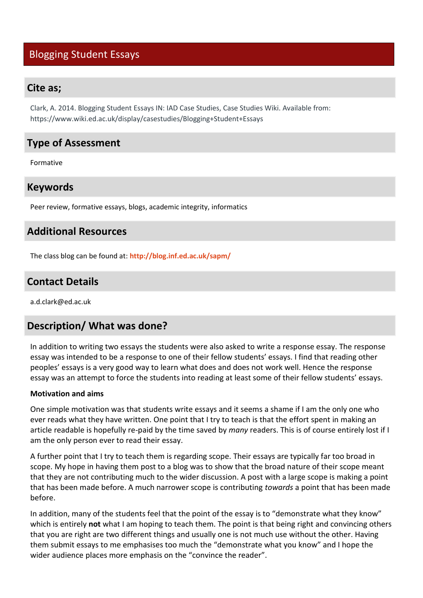# Blogging Student Essays

### **Cite as;**

Clark, A. 2014. Blogging Student Essays IN: IAD Case Studies, Case Studies Wiki. Available from: https://www.wiki.ed.ac.uk/display/casestudies/Blogging+Student+Essays

# **Type of Assessment**

Formative

### **Keywords**

Peer review, formative essays, blogs, academic integrity, informatics

## **Additional Resources**

The class blog can be found at: **<http://blog.inf.ed.ac.uk/sapm/>**

## **Contact Details**

a.d.clark@ed.ac.uk

## **Description/ What was done?**

In addition to writing two essays the students were also asked to write a response essay. The response essay was intended to be a response to one of their fellow students' essays. I find that reading other peoples' essays is a very good way to learn what does and does not work well. Hence the response essay was an attempt to force the students into reading at least some of their fellow students' essays.

#### **Motivation and aims**

One simple motivation was that students write essays and it seems a shame if I am the only one who ever reads what they have written. One point that I try to teach is that the effort spent in making an article readable is hopefully re-paid by the time saved by *many* readers. This is of course entirely lost if I am the only person ever to read their essay.

A further point that I try to teach them is regarding scope. Their essays are typically far too broad in scope. My hope in having them post to a blog was to show that the broad nature of their scope meant that they are not contributing much to the wider discussion. A post with a large scope is making a point that has been made before. A much narrower scope is contributing *towards* a point that has been made before.

In addition, many of the students feel that the point of the essay is to "demonstrate what they know" which is entirely **not** what I am hoping to teach them. The point is that being right and convincing others that you are right are two different things and usually one is not much use without the other. Having them submit essays to me emphasises too much the "demonstrate what you know" and I hope the wider audience places more emphasis on the "convince the reader".